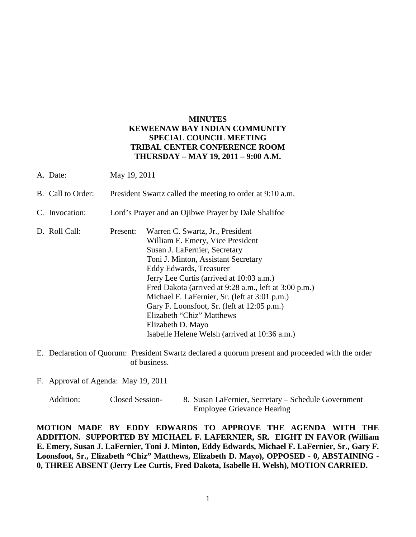# **MINUTES KEWEENAW BAY INDIAN COMMUNITY SPECIAL COUNCIL MEETING TRIBAL CENTER CONFERENCE ROOM THURSDAY – MAY 19, 2011 – 9:00 A.M.**

- A. Date: May 19, 2011
- B. Call to Order: President Swartz called the meeting to order at 9:10 a.m.
- C. Invocation: Lord's Prayer and an Ojibwe Prayer by Dale Shalifoe
- D. Roll Call: Present: Warren C. Swartz, Jr., President William E. Emery, Vice President Susan J. LaFernier, Secretary Toni J. Minton, Assistant Secretary Eddy Edwards, Treasurer Jerry Lee Curtis (arrived at 10:03 a.m.) Fred Dakota (arrived at 9:28 a.m., left at 3:00 p.m.) Michael F. LaFernier, Sr. (left at 3:01 p.m.) Gary F. Loonsfoot, Sr. (left at 12:05 p.m.) Elizabeth "Chiz" Matthews Elizabeth D. Mayo Isabelle Helene Welsh (arrived at 10:36 a.m.)
- E. Declaration of Quorum: President Swartz declared a quorum present and proceeded with the order of business.
- F. Approval of Agenda: May 19, 2011

**MOTION MADE BY EDDY EDWARDS TO APPROVE THE AGENDA WITH THE ADDITION. SUPPORTED BY MICHAEL F. LAFERNIER, SR. EIGHT IN FAVOR (William E. Emery, Susan J. LaFernier, Toni J. Minton, Eddy Edwards, Michael F. LaFernier, Sr., Gary F. Loonsfoot, Sr., Elizabeth "Chiz" Matthews, Elizabeth D. Mayo), OPPOSED - 0, ABSTAINING - 0, THREE ABSENT (Jerry Lee Curtis, Fred Dakota, Isabelle H. Welsh), MOTION CARRIED.**

Addition: Closed Session- 8. Susan LaFernier, Secretary – Schedule Government Employee Grievance Hearing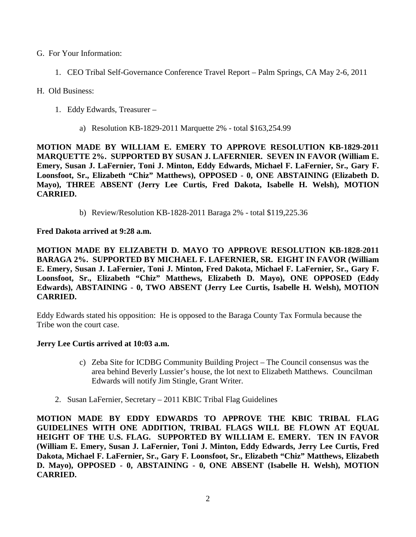- G. For Your Information:
	- 1. CEO Tribal Self-Governance Conference Travel Report Palm Springs, CA May 2-6, 2011
- H. Old Business:
	- 1. Eddy Edwards, Treasurer
		- a) Resolution KB-1829-2011 Marquette 2% total \$163,254.99

**MOTION MADE BY WILLIAM E. EMERY TO APPROVE RESOLUTION KB-1829-2011 MARQUETTE 2%. SUPPORTED BY SUSAN J. LAFERNIER. SEVEN IN FAVOR (William E. Emery, Susan J. LaFernier, Toni J. Minton, Eddy Edwards, Michael F. LaFernier, Sr., Gary F. Loonsfoot, Sr., Elizabeth "Chiz" Matthews), OPPOSED - 0, ONE ABSTAINING (Elizabeth D. Mayo), THREE ABSENT (Jerry Lee Curtis, Fred Dakota, Isabelle H. Welsh), MOTION CARRIED.**

b) Review/Resolution KB-1828-2011 Baraga 2% - total \$119,225.36

**Fred Dakota arrived at 9:28 a.m.** 

**MOTION MADE BY ELIZABETH D. MAYO TO APPROVE RESOLUTION KB-1828-2011 BARAGA 2%. SUPPORTED BY MICHAEL F. LAFERNIER, SR. EIGHT IN FAVOR (William E. Emery, Susan J. LaFernier, Toni J. Minton, Fred Dakota, Michael F. LaFernier, Sr., Gary F. Loonsfoot, Sr., Elizabeth "Chiz" Matthews, Elizabeth D. Mayo), ONE OPPOSED (Eddy Edwards), ABSTAINING - 0, TWO ABSENT (Jerry Lee Curtis, Isabelle H. Welsh), MOTION CARRIED.**

Eddy Edwards stated his opposition: He is opposed to the Baraga County Tax Formula because the Tribe won the court case.

### **Jerry Lee Curtis arrived at 10:03 a.m.**

- c) Zeba Site for ICDBG Community Building Project The Council consensus was the area behind Beverly Lussier's house, the lot next to Elizabeth Matthews. Councilman Edwards will notify Jim Stingle, Grant Writer.
- 2. Susan LaFernier, Secretary 2011 KBIC Tribal Flag Guidelines

**MOTION MADE BY EDDY EDWARDS TO APPROVE THE KBIC TRIBAL FLAG GUIDELINES WITH ONE ADDITION, TRIBAL FLAGS WILL BE FLOWN AT EQUAL HEIGHT OF THE U.S. FLAG. SUPPORTED BY WILLIAM E. EMERY. TEN IN FAVOR (William E. Emery, Susan J. LaFernier, Toni J. Minton, Eddy Edwards, Jerry Lee Curtis, Fred Dakota, Michael F. LaFernier, Sr., Gary F. Loonsfoot, Sr., Elizabeth "Chiz" Matthews, Elizabeth D. Mayo), OPPOSED - 0, ABSTAINING - 0, ONE ABSENT (Isabelle H. Welsh), MOTION CARRIED.**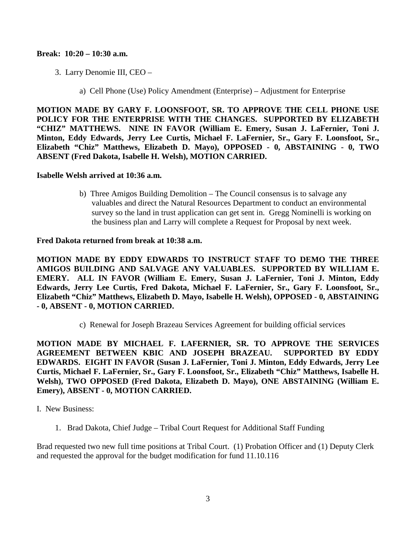#### **Break: 10:20 – 10:30 a.m.**

- 3. Larry Denomie III, CEO
	- a) Cell Phone (Use) Policy Amendment (Enterprise) Adjustment for Enterprise

**MOTION MADE BY GARY F. LOONSFOOT, SR. TO APPROVE THE CELL PHONE USE POLICY FOR THE ENTERPRISE WITH THE CHANGES. SUPPORTED BY ELIZABETH "CHIZ" MATTHEWS. NINE IN FAVOR (William E. Emery, Susan J. LaFernier, Toni J. Minton, Eddy Edwards, Jerry Lee Curtis, Michael F. LaFernier, Sr., Gary F. Loonsfoot, Sr., Elizabeth "Chiz" Matthews, Elizabeth D. Mayo), OPPOSED - 0, ABSTAINING - 0, TWO ABSENT (Fred Dakota, Isabelle H. Welsh), MOTION CARRIED.**

#### **Isabelle Welsh arrived at 10:36 a.m.**

b) Three Amigos Building Demolition – The Council consensus is to salvage any valuables and direct the Natural Resources Department to conduct an environmental survey so the land in trust application can get sent in. Gregg Nominelli is working on the business plan and Larry will complete a Request for Proposal by next week.

#### **Fred Dakota returned from break at 10:38 a.m.**

**MOTION MADE BY EDDY EDWARDS TO INSTRUCT STAFF TO DEMO THE THREE AMIGOS BUILDING AND SALVAGE ANY VALUABLES. SUPPORTED BY WILLIAM E. EMERY. ALL IN FAVOR (William E. Emery, Susan J. LaFernier, Toni J. Minton, Eddy Edwards, Jerry Lee Curtis, Fred Dakota, Michael F. LaFernier, Sr., Gary F. Loonsfoot, Sr., Elizabeth "Chiz" Matthews, Elizabeth D. Mayo, Isabelle H. Welsh), OPPOSED - 0, ABSTAINING - 0, ABSENT - 0, MOTION CARRIED.**

c) Renewal for Joseph Brazeau Services Agreement for building official services

**MOTION MADE BY MICHAEL F. LAFERNIER, SR. TO APPROVE THE SERVICES AGREEMENT BETWEEN KBIC AND JOSEPH BRAZEAU. SUPPORTED BY EDDY EDWARDS. EIGHT IN FAVOR (Susan J. LaFernier, Toni J. Minton, Eddy Edwards, Jerry Lee Curtis, Michael F. LaFernier, Sr., Gary F. Loonsfoot, Sr., Elizabeth "Chiz" Matthews, Isabelle H. Welsh), TWO OPPOSED (Fred Dakota, Elizabeth D. Mayo), ONE ABSTAINING (William E. Emery), ABSENT - 0, MOTION CARRIED.**

- I. New Business:
	- 1. Brad Dakota, Chief Judge Tribal Court Request for Additional Staff Funding

Brad requested two new full time positions at Tribal Court. (1) Probation Officer and (1) Deputy Clerk and requested the approval for the budget modification for fund 11.10.116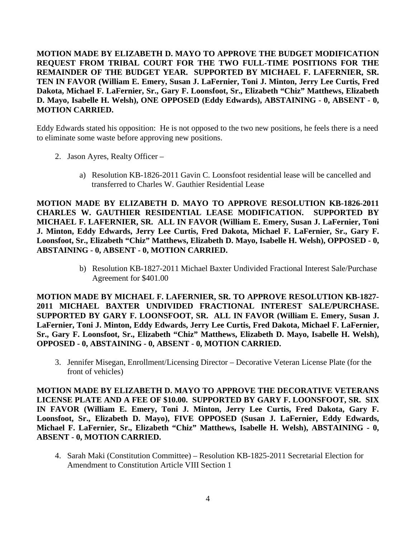**MOTION MADE BY ELIZABETH D. MAYO TO APPROVE THE BUDGET MODIFICATION REQUEST FROM TRIBAL COURT FOR THE TWO FULL-TIME POSITIONS FOR THE REMAINDER OF THE BUDGET YEAR. SUPPORTED BY MICHAEL F. LAFERNIER, SR. TEN IN FAVOR (William E. Emery, Susan J. LaFernier, Toni J. Minton, Jerry Lee Curtis, Fred Dakota, Michael F. LaFernier, Sr., Gary F. Loonsfoot, Sr., Elizabeth "Chiz" Matthews, Elizabeth D. Mayo, Isabelle H. Welsh), ONE OPPOSED (Eddy Edwards), ABSTAINING - 0, ABSENT - 0, MOTION CARRIED.**

Eddy Edwards stated his opposition: He is not opposed to the two new positions, he feels there is a need to eliminate some waste before approving new positions.

- 2. Jason Ayres, Realty Officer
	- a) Resolution KB-1826-2011 Gavin C. Loonsfoot residential lease will be cancelled and transferred to Charles W. Gauthier Residential Lease

**MOTION MADE BY ELIZABETH D. MAYO TO APPROVE RESOLUTION KB-1826-2011 CHARLES W. GAUTHIER RESIDENTIAL LEASE MODIFICATION. SUPPORTED BY MICHAEL F. LAFERNIER, SR. ALL IN FAVOR (William E. Emery, Susan J. LaFernier, Toni J. Minton, Eddy Edwards, Jerry Lee Curtis, Fred Dakota, Michael F. LaFernier, Sr., Gary F. Loonsfoot, Sr., Elizabeth "Chiz" Matthews, Elizabeth D. Mayo, Isabelle H. Welsh), OPPOSED - 0, ABSTAINING - 0, ABSENT - 0, MOTION CARRIED.**

> b) Resolution KB-1827-2011 Michael Baxter Undivided Fractional Interest Sale/Purchase Agreement for \$401.00

**MOTION MADE BY MICHAEL F. LAFERNIER, SR. TO APPROVE RESOLUTION KB-1827- 2011 MICHAEL BAXTER UNDIVIDED FRACTIONAL INTEREST SALE/PURCHASE. SUPPORTED BY GARY F. LOONSFOOT, SR. ALL IN FAVOR (William E. Emery, Susan J. LaFernier, Toni J. Minton, Eddy Edwards, Jerry Lee Curtis, Fred Dakota, Michael F. LaFernier, Sr., Gary F. Loonsfoot, Sr., Elizabeth "Chiz" Matthews, Elizabeth D. Mayo, Isabelle H. Welsh), OPPOSED - 0, ABSTAINING - 0, ABSENT - 0, MOTION CARRIED.**

3. Jennifer Misegan, Enrollment/Licensing Director – Decorative Veteran License Plate (for the front of vehicles)

**MOTION MADE BY ELIZABETH D. MAYO TO APPROVE THE DECORATIVE VETERANS LICENSE PLATE AND A FEE OF \$10.00. SUPPORTED BY GARY F. LOONSFOOT, SR. SIX IN FAVOR (William E. Emery, Toni J. Minton, Jerry Lee Curtis, Fred Dakota, Gary F. Loonsfoot, Sr., Elizabeth D. Mayo), FIVE OPPOSED (Susan J. LaFernier, Eddy Edwards, Michael F. LaFernier, Sr., Elizabeth "Chiz" Matthews, Isabelle H. Welsh), ABSTAINING - 0, ABSENT - 0, MOTION CARRIED.**

4. Sarah Maki (Constitution Committee) – Resolution KB-1825-2011 Secretarial Election for Amendment to Constitution Article VIII Section 1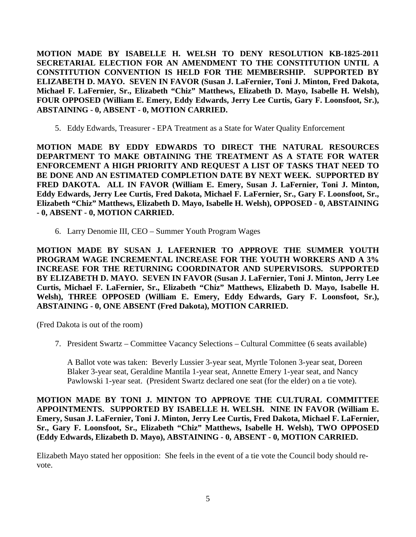**MOTION MADE BY ISABELLE H. WELSH TO DENY RESOLUTION KB-1825-2011 SECRETARIAL ELECTION FOR AN AMENDMENT TO THE CONSTITUTION UNTIL A CONSTITUTION CONVENTION IS HELD FOR THE MEMBERSHIP. SUPPORTED BY ELIZABETH D. MAYO. SEVEN IN FAVOR (Susan J. LaFernier, Toni J. Minton, Fred Dakota, Michael F. LaFernier, Sr., Elizabeth "Chiz" Matthews, Elizabeth D. Mayo, Isabelle H. Welsh), FOUR OPPOSED (William E. Emery, Eddy Edwards, Jerry Lee Curtis, Gary F. Loonsfoot, Sr.), ABSTAINING - 0, ABSENT - 0, MOTION CARRIED.**

5. Eddy Edwards, Treasurer - EPA Treatment as a State for Water Quality Enforcement

**MOTION MADE BY EDDY EDWARDS TO DIRECT THE NATURAL RESOURCES DEPARTMENT TO MAKE OBTAINING THE TREATMENT AS A STATE FOR WATER ENFORCEMENT A HIGH PRIORITY AND REQUEST A LIST OF TASKS THAT NEED TO BE DONE AND AN ESTIMATED COMPLETION DATE BY NEXT WEEK. SUPPORTED BY FRED DAKOTA. ALL IN FAVOR (William E. Emery, Susan J. LaFernier, Toni J. Minton, Eddy Edwards, Jerry Lee Curtis, Fred Dakota, Michael F. LaFernier, Sr., Gary F. Loonsfoot, Sr., Elizabeth "Chiz" Matthews, Elizabeth D. Mayo, Isabelle H. Welsh), OPPOSED - 0, ABSTAINING - 0, ABSENT - 0, MOTION CARRIED.**

6. Larry Denomie III, CEO – Summer Youth Program Wages

**MOTION MADE BY SUSAN J. LAFERNIER TO APPROVE THE SUMMER YOUTH PROGRAM WAGE INCREMENTAL INCREASE FOR THE YOUTH WORKERS AND A 3% INCREASE FOR THE RETURNING COORDINATOR AND SUPERVISORS. SUPPORTED BY ELIZABETH D. MAYO. SEVEN IN FAVOR (Susan J. LaFernier, Toni J. Minton, Jerry Lee Curtis, Michael F. LaFernier, Sr., Elizabeth "Chiz" Matthews, Elizabeth D. Mayo, Isabelle H. Welsh), THREE OPPOSED (William E. Emery, Eddy Edwards, Gary F. Loonsfoot, Sr.), ABSTAINING - 0, ONE ABSENT (Fred Dakota), MOTION CARRIED.**

(Fred Dakota is out of the room)

7. President Swartz – Committee Vacancy Selections – Cultural Committee (6 seats available)

A Ballot vote was taken: Beverly Lussier 3-year seat, Myrtle Tolonen 3-year seat, Doreen Blaker 3-year seat, Geraldine Mantila 1-year seat, Annette Emery 1-year seat, and Nancy Pawlowski 1-year seat. (President Swartz declared one seat (for the elder) on a tie vote).

**MOTION MADE BY TONI J. MINTON TO APPROVE THE CULTURAL COMMITTEE APPOINTMENTS. SUPPORTED BY ISABELLE H. WELSH. NINE IN FAVOR (William E. Emery, Susan J. LaFernier, Toni J. Minton, Jerry Lee Curtis, Fred Dakota, Michael F. LaFernier, Sr., Gary F. Loonsfoot, Sr., Elizabeth "Chiz" Matthews, Isabelle H. Welsh), TWO OPPOSED (Eddy Edwards, Elizabeth D. Mayo), ABSTAINING - 0, ABSENT - 0, MOTION CARRIED.**

Elizabeth Mayo stated her opposition: She feels in the event of a tie vote the Council body should revote.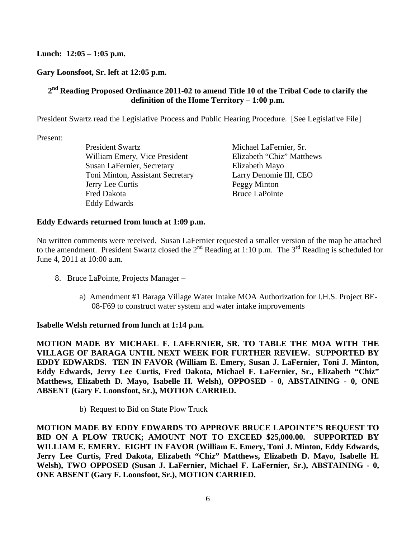# **Lunch: 12:05 – 1:05 p.m.**

# **Gary Loonsfoot, Sr. left at 12:05 p.m.**

# **2nd Reading Proposed Ordinance 2011-02 to amend Title 10 of the Tribal Code to clarify the definition of the Home Territory – 1:00 p.m.**

President Swartz read the Legislative Process and Public Hearing Procedure. [See Legislative File]

Present:

President Swartz Michael LaFernier, Sr. William Emery, Vice President Elizabeth "Chiz" Matthews Susan LaFernier, Secretary Elizabeth Mayo Toni Minton, Assistant Secretary Larry Denomie III, CEO Jerry Lee Curtis Peggy Minton Fred Dakota Bruce LaPointe Eddy Edwards

### **Eddy Edwards returned from lunch at 1:09 p.m.**

No written comments were received. Susan LaFernier requested a smaller version of the map be attached to which comments were received. Busin for expression a similar version of the number of meeting  $\alpha$  meeting is scheduled for June 4, 2011 at 10:00 a.m.

- 8. Bruce LaPointe, Projects Manager
	- a) Amendment #1 Baraga Village Water Intake MOA Authorization for I.H.S. Project BE-08-F69 to construct water system and water intake improvements

### **Isabelle Welsh returned from lunch at 1:14 p.m.**

**MOTION MADE BY MICHAEL F. LAFERNIER, SR. TO TABLE THE MOA WITH THE VILLAGE OF BARAGA UNTIL NEXT WEEK FOR FURTHER REVIEW. SUPPORTED BY EDDY EDWARDS. TEN IN FAVOR (William E. Emery, Susan J. LaFernier, Toni J. Minton, Eddy Edwards, Jerry Lee Curtis, Fred Dakota, Michael F. LaFernier, Sr., Elizabeth "Chiz" Matthews, Elizabeth D. Mayo, Isabelle H. Welsh), OPPOSED - 0, ABSTAINING - 0, ONE ABSENT (Gary F. Loonsfoot, Sr.), MOTION CARRIED.** 

b) Request to Bid on State Plow Truck

**MOTION MADE BY EDDY EDWARDS TO APPROVE BRUCE LAPOINTE'S REQUEST TO BID ON A PLOW TRUCK; AMOUNT NOT TO EXCEED \$25,000.00. SUPPORTED BY WILLIAM E. EMERY. EIGHT IN FAVOR (William E. Emery, Toni J. Minton, Eddy Edwards, Jerry Lee Curtis, Fred Dakota, Elizabeth "Chiz" Matthews, Elizabeth D. Mayo, Isabelle H. Welsh), TWO OPPOSED (Susan J. LaFernier, Michael F. LaFernier, Sr.), ABSTAINING - 0, ONE ABSENT (Gary F. Loonsfoot, Sr.), MOTION CARRIED.**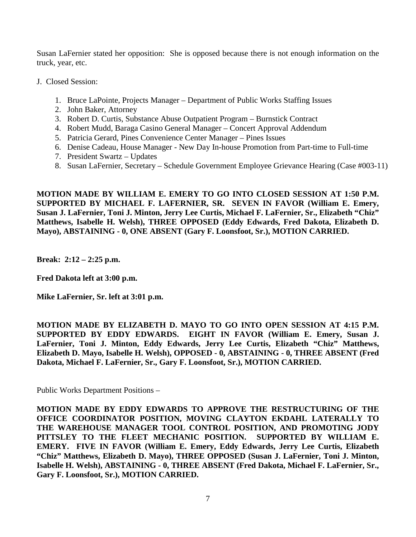Susan LaFernier stated her opposition: She is opposed because there is not enough information on the truck, year, etc.

- J. Closed Session:
	- 1. Bruce LaPointe, Projects Manager Department of Public Works Staffing Issues
	- 2. John Baker, Attorney
	- 3. Robert D. Curtis, Substance Abuse Outpatient Program Burnstick Contract
	- 4. Robert Mudd, Baraga Casino General Manager Concert Approval Addendum
	- 5. Patricia Gerard, Pines Convenience Center Manager Pines Issues
	- 6. Denise Cadeau, House Manager New Day In-house Promotion from Part-time to Full-time
	- 7. President Swartz Updates
	- 8. Susan LaFernier, Secretary Schedule Government Employee Grievance Hearing (Case #003-11)

**MOTION MADE BY WILLIAM E. EMERY TO GO INTO CLOSED SESSION AT 1:50 P.M. SUPPORTED BY MICHAEL F. LAFERNIER, SR. SEVEN IN FAVOR (William E. Emery, Susan J. LaFernier, Toni J. Minton, Jerry Lee Curtis, Michael F. LaFernier, Sr., Elizabeth "Chiz" Matthews, Isabelle H. Welsh), THREE OPPOSED (Eddy Edwards, Fred Dakota, Elizabeth D. Mayo), ABSTAINING - 0, ONE ABSENT (Gary F. Loonsfoot, Sr.), MOTION CARRIED.** 

**Break: 2:12 – 2:25 p.m.** 

**Fred Dakota left at 3:00 p.m.** 

**Mike LaFernier, Sr. left at 3:01 p.m.**

**MOTION MADE BY ELIZABETH D. MAYO TO GO INTO OPEN SESSION AT 4:15 P.M. SUPPORTED BY EDDY EDWARDS. EIGHT IN FAVOR (William E. Emery, Susan J. LaFernier, Toni J. Minton, Eddy Edwards, Jerry Lee Curtis, Elizabeth "Chiz" Matthews, Elizabeth D. Mayo, Isabelle H. Welsh), OPPOSED - 0, ABSTAINING - 0, THREE ABSENT (Fred Dakota, Michael F. LaFernier, Sr., Gary F. Loonsfoot, Sr.), MOTION CARRIED.** 

Public Works Department Positions –

**MOTION MADE BY EDDY EDWARDS TO APPROVE THE RESTRUCTURING OF THE OFFICE COORDINATOR POSITION, MOVING CLAYTON EKDAHL LATERALLY TO THE WAREHOUSE MANAGER TOOL CONTROL POSITION, AND PROMOTING JODY PITTSLEY TO THE FLEET MECHANIC POSITION. SUPPORTED BY WILLIAM E. EMERY. FIVE IN FAVOR (William E. Emery, Eddy Edwards, Jerry Lee Curtis, Elizabeth "Chiz" Matthews, Elizabeth D. Mayo), THREE OPPOSED (Susan J. LaFernier, Toni J. Minton, Isabelle H. Welsh), ABSTAINING - 0, THREE ABSENT (Fred Dakota, Michael F. LaFernier, Sr., Gary F. Loonsfoot, Sr.), MOTION CARRIED.**